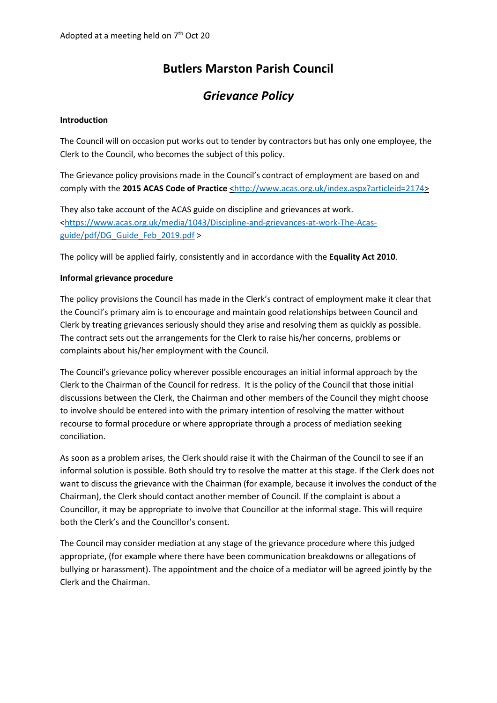# **Butlers Marston Parish Council**

## *Grievance Policy*

#### **Introduction**

The Council will on occasion put works out to tender by contractors but has only one employee, the Clerk to the Council, who becomes the subject of this policy.

The Grievance policy provisions made in the Council's contract of employment are based on and comply with the 2015 ACAS Code of Practice [<http://www.acas.org.uk/index.aspx?articleid=2174>](http://www.acas.org.uk/index.aspx?articleid=2174)

They also take account of the ACAS guide on discipline and grievances at work. [<https://www.acas.org.uk/media/1043/Discipline-and-grievances-at-work-The-Acas](https://www.acas.org.uk/media/1043/Discipline-and-grievances-at-work-The-Acas-guide/pdf/DG_Guide_Feb_2019.pdf)[guide/pdf/DG\\_Guide\\_Feb\\_2019.pdf](https://www.acas.org.uk/media/1043/Discipline-and-grievances-at-work-The-Acas-guide/pdf/DG_Guide_Feb_2019.pdf) >

The policy will be applied fairly, consistently and in accordance with the **Equality Act 2010**.

#### **Informal grievance procedure**

The policy provisions the Council has made in the Clerk's contract of employment make it clear that the Council's primary aim is to encourage and maintain good relationships between Council and Clerk by treating grievances seriously should they arise and resolving them as quickly as possible. The contract sets out the arrangements for the Clerk to raise his/her concerns, problems or complaints about his/her employment with the Council.

The Council's grievance policy wherever possible encourages an initial informal approach by the Clerk to the Chairman of the Council for redress. It is the policy of the Council that those initial discussions between the Clerk, the Chairman and other members of the Council they might choose to involve should be entered into with the primary intention of resolving the matter without recourse to formal procedure or where appropriate through a process of mediation seeking conciliation.

As soon as a problem arises, the Clerk should raise it with the Chairman of the Council to see if an informal solution is possible. Both should try to resolve the matter at this stage. If the Clerk does not want to discuss the grievance with the Chairman (for example, because it involves the conduct of the Chairman), the Clerk should contact another member of Council. If the complaint is about a Councillor, it may be appropriate to involve that Councillor at the informal stage. This will require both the Clerk's and the Councillor's consent.

The Council may consider mediation at any stage of the grievance procedure where this judged appropriate, (for example where there have been communication breakdowns or allegations of bullying or harassment). The appointment and the choice of a mediator will be agreed jointly by the Clerk and the Chairman.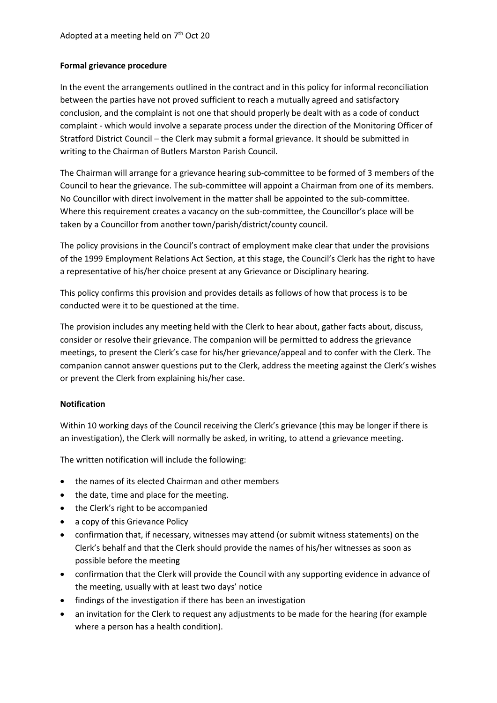## **Formal grievance procedure**

In the event the arrangements outlined in the contract and in this policy for informal reconciliation between the parties have not proved sufficient to reach a mutually agreed and satisfactory conclusion, and the complaint is not one that should properly be dealt with as a code of conduct complaint - which would involve a separate process under the direction of the Monitoring Officer of Stratford District Council – the Clerk may submit a formal grievance. It should be submitted in writing to the Chairman of Butlers Marston Parish Council.

The Chairman will arrange for a grievance hearing sub-committee to be formed of 3 members of the Council to hear the grievance. The sub-committee will appoint a Chairman from one of its members. No Councillor with direct involvement in the matter shall be appointed to the sub-committee. Where this requirement creates a vacancy on the sub-committee, the Councillor's place will be taken by a Councillor from another town/parish/district/county council.

The policy provisions in the Council's contract of employment make clear that under the provisions of the 1999 Employment Relations Act Section, at this stage, the Council's Clerk has the right to have a representative of his/her choice present at any Grievance or Disciplinary hearing.

This policy confirms this provision and provides details as follows of how that process is to be conducted were it to be questioned at the time.

The provision includes any meeting held with the Clerk to hear about, gather facts about, discuss, consider or resolve their grievance. The companion will be permitted to address the grievance meetings, to present the Clerk's case for his/her grievance/appeal and to confer with the Clerk. The companion cannot answer questions put to the Clerk, address the meeting against the Clerk's wishes or prevent the Clerk from explaining his/her case.

## **Notification**

Within 10 working days of the Council receiving the Clerk's grievance (this may be longer if there is an investigation), the Clerk will normally be asked, in writing, to attend a grievance meeting.

The written notification will include the following:

- the names of its elected Chairman and other members
- the date, time and place for the meeting.
- the Clerk's right to be accompanied
- a copy of this Grievance Policy
- confirmation that, if necessary, witnesses may attend (or submit witness statements) on the Clerk's behalf and that the Clerk should provide the names of his/her witnesses as soon as possible before the meeting
- confirmation that the Clerk will provide the Council with any supporting evidence in advance of the meeting, usually with at least two days' notice
- findings of the investigation if there has been an investigation
- an invitation for the Clerk to request any adjustments to be made for the hearing (for example where a person has a health condition).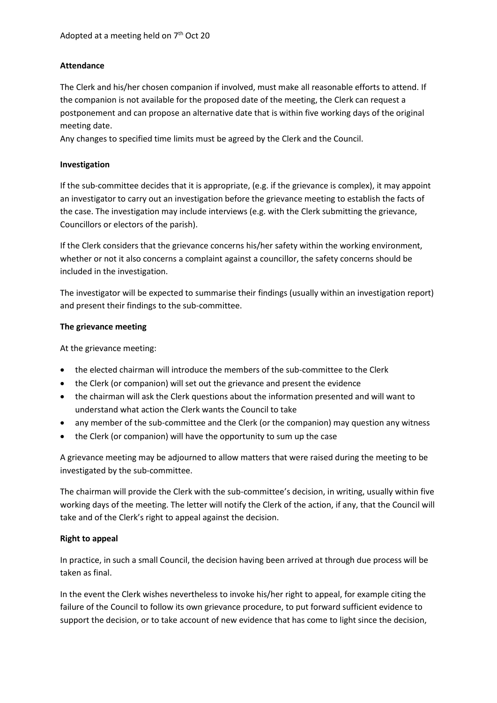## **Attendance**

The Clerk and his/her chosen companion if involved, must make all reasonable efforts to attend. If the companion is not available for the proposed date of the meeting, the Clerk can request a postponement and can propose an alternative date that is within five working days of the original meeting date.

Any changes to specified time limits must be agreed by the Clerk and the Council.

## **Investigation**

If the sub-committee decides that it is appropriate, (e.g. if the grievance is complex), it may appoint an investigator to carry out an investigation before the grievance meeting to establish the facts of the case. The investigation may include interviews (e.g. with the Clerk submitting the grievance, Councillors or electors of the parish).

If the Clerk considers that the grievance concerns his/her safety within the working environment, whether or not it also concerns a complaint against a councillor, the safety concerns should be included in the investigation.

The investigator will be expected to summarise their findings (usually within an investigation report) and present their findings to the sub-committee.

## **The grievance meeting**

At the grievance meeting:

- the elected chairman will introduce the members of the sub-committee to the Clerk
- the Clerk (or companion) will set out the grievance and present the evidence
- the chairman will ask the Clerk questions about the information presented and will want to understand what action the Clerk wants the Council to take
- any member of the sub-committee and the Clerk (or the companion) may question any witness
- the Clerk (or companion) will have the opportunity to sum up the case

A grievance meeting may be adjourned to allow matters that were raised during the meeting to be investigated by the sub-committee.

The chairman will provide the Clerk with the sub-committee's decision, in writing, usually within five working days of the meeting. The letter will notify the Clerk of the action, if any, that the Council will take and of the Clerk's right to appeal against the decision.

## **Right to appeal**

In practice, in such a small Council, the decision having been arrived at through due process will be taken as final.

In the event the Clerk wishes nevertheless to invoke his/her right to appeal, for example citing the failure of the Council to follow its own grievance procedure, to put forward sufficient evidence to support the decision, or to take account of new evidence that has come to light since the decision,